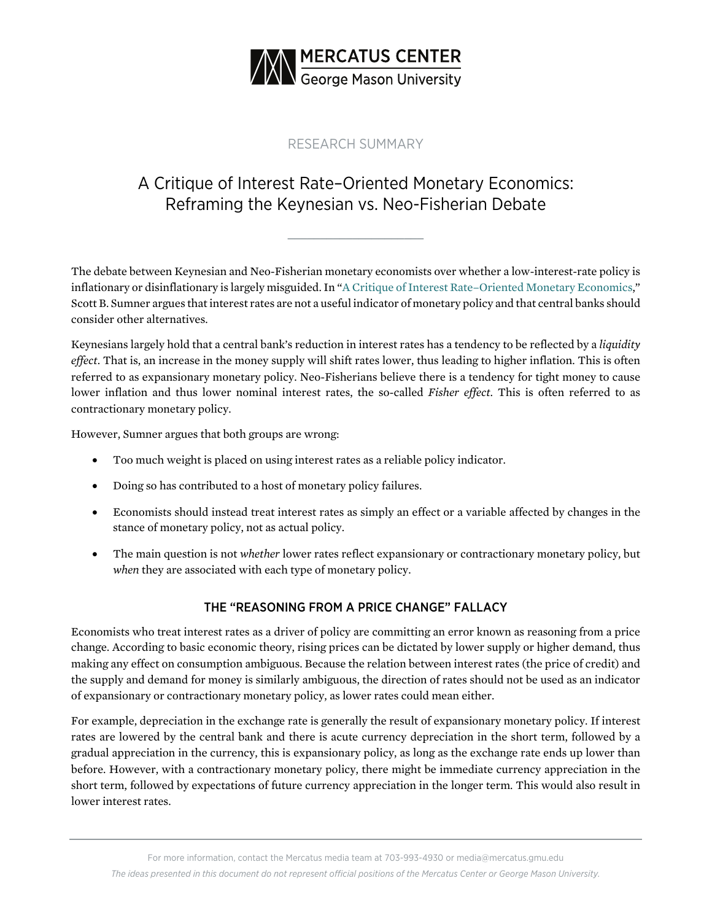

## RESEARCH SUMMARY

# A Critique of Interest Rate–Oriented Monetary Economics: Reframing the Keynesian vs. Neo-Fisherian Debate

**\_\_\_\_\_\_\_\_\_\_\_\_\_\_\_\_\_\_\_\_\_**

The debate between Keynesian and Neo-Fisherian monetary economists over whether a low-interest-rate policy is inflationary or disinflationary is largely misguided. In "A Critique of [Interest Rate–Oriented Monetary Economics,](https://www.mercatus.org/publications/monetary-policy/critique-interest-rate-oriented-monetary-economics)" Scott B. Sumner argues that interest rates are not a useful indicator of monetary policy and that central banks should consider other alternatives.

Keynesians largely hold that a central bank's reduction in interest rates has a tendency to be reflected by a *liquidity effect*. That is, an increase in the money supply will shift rates lower, thus leading to higher inflation. This is often referred to as expansionary monetary policy. Neo-Fisherians believe there is a tendency for tight money to cause lower inflation and thus lower nominal interest rates, the so-called *Fisher effect.* This is often referred to as contractionary monetary policy.

However, Sumner argues that both groups are wrong:

- Too much weight is placed on using interest rates as a reliable policy indicator.
- Doing so has contributed to a host of monetary policy failures.
- Economists should instead treat interest rates as simply an effect or a variable affected by changes in the stance of monetary policy, not as actual policy.
- The main question is not *whether* lower rates reflect expansionary or contractionary monetary policy, but *when* they are associated with each type of monetary policy.

### THE "REASONING FROM A PRICE CHANGE" FALLACY

Economists who treat interest rates as a driver of policy are committing an error known as reasoning from a price change*.* According to basic economic theory, rising prices can be dictated by lower supply or higher demand, thus making any effect on consumption ambiguous. Because the relation between interest rates (the price of credit) and the supply and demand for money is similarly ambiguous, the direction of rates should not be used as an indicator of expansionary or contractionary monetary policy, as lower rates could mean either.

For example, depreciation in the exchange rate is generally the result of expansionary monetary policy. If interest rates are lowered by the central bank and there is acute currency depreciation in the short term, followed by a gradual appreciation in the currency, this is expansionary policy, as long as the exchange rate ends up lower than before. However, with a contractionary monetary policy, there might be immediate currency appreciation in the short term, followed by expectations of future currency appreciation in the longer term. This would also result in lower interest rates.